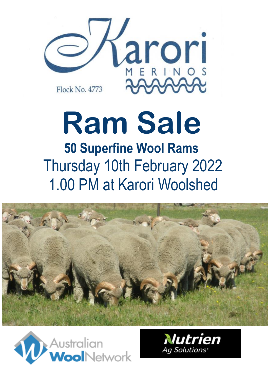

# **Ram Sale 50 Superfine Wool Rams** Thursday 10th February 2022 1.00 PM at Karori Woolshed





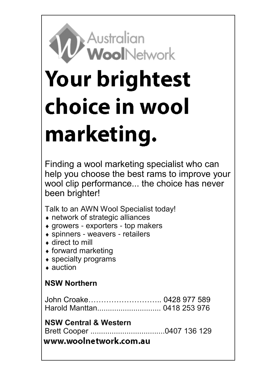# **Australian** WoolNetwork

# **Your brightest** choice in wool marketing.

Finding a wool marketing specialist who can help you choose the best rams to improve your wool clip performance... the choice has never been brighter!

Talk to an AWN Wool Specialist today!

- network of strategic alliances
- $\bullet$  growers exporters top makers
- spinners weavers retailers
- ◆ direct to mill
- $\bullet$  forward marketing
- specialty programs
- ▲ auction

## **NSW Northern**

#### **NSW Central & Western**

Brett Cooper ...................................0407 136 129

www.woolnetwork.com.au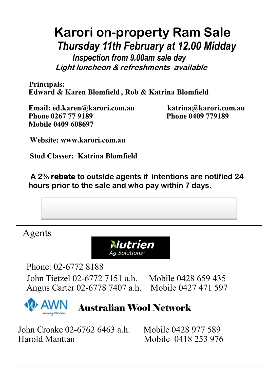# **Karori on-property Ram Sale**  *Thursday 11th February at 12.00 Midday*

 *Inspection from 9.00am sale day* **Light luncheon & refreshments available** 

**Principals: Edward & Karen Blomfield , Rob & Katrina Blomfield**

**Email: ed.karen@karori.com.au katrina@karori.com.au Phone 0267 77 9189 Phone 0409 779189 Mobile 0409 608697** 

**Website: www.karori.com.au**

**Stud Classer: Katrina Blomfield**

**A 2% rebate to outside agents if intentions are notified 24 hours prior to the sale and who pay within 7 days.**

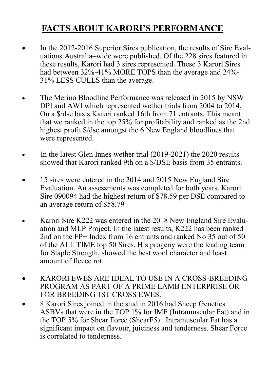# **FACTS ABOUT KARORI'S PERFORMANCE**

- In the 2012-2016 Superior Sires publication, the results of Sire Evaluations Australia–wide were published. Of the 228 sires featured in these results, Karori had 3 sires represented. These 3 Karori Sires had between 32%-41% MORE TOPS than the average and 24%- 31% LESS CULLS than the average.
- The Merino Bloodline Performance was released in 2015 by NSW DPI and AWI which represented wether trials from 2004 to 2014. On a \$/dse basis Karori ranked 16th from 71 entrants. This meant that we ranked in the top 25% for profitability and ranked as the 2nd highest profit \$/dse amongst the 6 New England bloodlines that were represented.
- In the latest Glen Innes wether trial (2019-2021) the 2020 results showed that Karori ranked 9th on a \$/DSE basis from 35 entrants.
- 15 sires were entered in the 2014 and 2015 New England Sire Evaluation. An assessments was completed for both years. Karori Sire 090094 had the highest return of \$78.59 per DSE compared to an average return of \$58.79
- Karori Sire K222 was entered in the 2018 New England Sire Evaluation and MLP Project. In the latest results, K222 has been ranked 2nd on the FP+ Index from 16 entrants and ranked No 35 out of 50 of the ALL TIME top 50 Sires. His progeny were the leading team for Staple Strength, showed the best wool character and least amount of fleece rot.
- KARORI EWES ARE IDEAL TO USE IN A CROSS-BREEDING PROGRAM AS PART OF A PRIME LAMB ENTERPRISE OR FOR BREEDING 1ST CROSS EWES.
- 8 Karori Sires joined in the stud in 2016 had Sheep Genetics ASBVs that were in the TOP 1% for IMF (Intramuscular Fat) and in the TOP 5% for Shear Force (ShearF5). Intramuscular Fat has a significant impact on flavour, juiciness and tenderness. Shear Force is correlated to tenderness.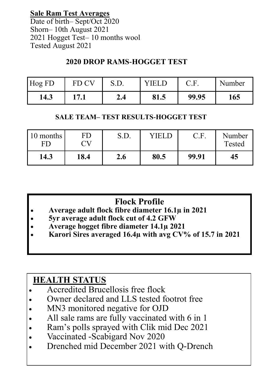**Sale Ram Test Averages**

Date of birth– Sept/Oct 2020 Shorn– 10th August 2021 2021 Hogget Test– 10 months wool Tested August 2021

#### **2020 DROP RAMS-HOGGET TEST**

| Hog FD | FD C |     | VIEI | J.L.  | Number |
|--------|------|-----|------|-------|--------|
| 14.3   | 17 1 | 2.4 | 81.5 | 99.95 | 165    |

#### **SALE TEAM– TEST RESULTS-HOGGET TEST**

| 10 months<br>FD | FD<br>ĽV | S.D. | VIEL | C.F.  | Number<br>Tested |
|-----------------|----------|------|------|-------|------------------|
| 14.3            | 18.4     | 2.6  | 80.5 | 99.91 | 45               |

# **Flock Profile**

- **Average adult flock fibre diameter 16.1µ in 2021**
- **5yr average adult flock cut of 4.2 GFW**
- **Average hogget fibre diameter 14.1µ 2021**
- **Karori Sires averaged 16.4µ with avg CV% of 15.7 in 2021**

# **HEALTH STATUS**

- Accredited Brucellosis free flock
- Owner declared and LLS tested footrot free
- MN3 monitored negative for OJD
- All sale rams are fully vaccinated with 6 in 1
- Ram's polls sprayed with Clik mid Dec 2021
- Vaccinated -Scabigard Nov 2020
- Drenched mid December 2021 with Q-Drench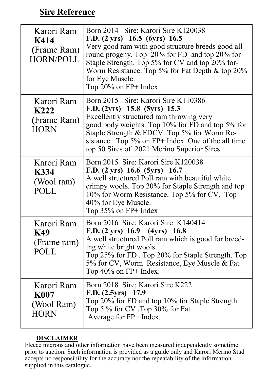## **Sire Reference**

| Karori Ram<br>K414<br>(Frame Ram)<br><b>HORN/POLL</b>  | Born 2014 Sire: Karori Sire K120038<br>F.D. (2 yrs) 16.5 (6yrs) 16.5<br>Very good ram with good structure breeds good all<br>round progeny. Top 20% for FD and top 20% for<br>Staple Strength. Top 5% for CV and top 20% for-<br>Worm Resistance. Top 5% for Fat Depth & top 20%<br>for Eye Muscle.<br>Top $20\%$ on FP+ Index |
|--------------------------------------------------------|--------------------------------------------------------------------------------------------------------------------------------------------------------------------------------------------------------------------------------------------------------------------------------------------------------------------------------|
| Karori Ram<br>K222<br>(Frame Ram)<br><b>HORN</b>       | Born 2015 Sire: Karori Sire K110386<br>F.D. (2yrs) 15.8 (5yrs) 15.3<br>Excellently structured ram throwing very<br>good body weights. Top 10% for FD and top 5% for<br>Staple Strength & FDCV. Top 5% for Worm Re-<br>sistance. Top 5% on FP+ Index. One of the all time<br>top 50 Sires of 2021 Merino Superior Sires.        |
| Karori Ram<br><b>K334</b><br>(Wool ram)<br>POLL        | Born 2015 Sire: Karori Sire K120038<br>F.D. $(2 \text{ yrs})$ 16.6 $(5 \text{ yrs})$ 16.7<br>A well structured Poll ram with beautiful white<br>crimpy wools. Top 20% for Staple Strength and top<br>10% for Worm Resistance. Top 5% for CV. Top<br>40% for Eye Muscle.<br>Top $35\%$ on FP+ Index                             |
| Karori Ram<br><b>K49</b><br>(Frame ram)<br>POLL        | Born 2016 Sire: Karori Sire K140414<br>F.D. $(2 \text{ yrs})$ 16.9 $(4 \text{ yrs})$ 16.8<br>A well structured Poll ram which is good for breed-<br>ing white bright wools.<br>Top 25% for FD. Top 20% for Staple Strength. Top<br>5% for CV, Worm Resistance, Eye Muscle & Fat<br>Top 40% on FP+ Index.                       |
| Karori Ram<br><b>K007</b><br>(Wool Ram)<br><b>HORN</b> | Born 2018 Sire: Karori Sire K222<br>$F.D. (2.5yrs)$ 17.9<br>Top 20% for FD and top 10% for Staple Strength.<br>Top 5 % for CV .Top 30% for Fat.<br>Average for FP+ Index.                                                                                                                                                      |

#### **DISCLAIMER**

Fleece microns and other information have been measured independently sometime prior to auction. Such information is provided as a guide only and Karori Merino Stud accepts no responsibility for the accuracy nor the repeatability of the information supplied in this catalogue.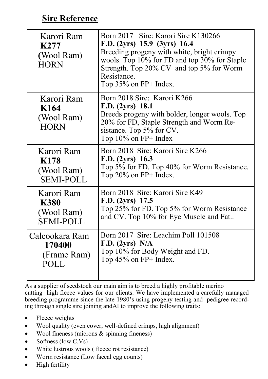## **Sire Reference**

| Karori Ram<br>K277<br>(Wool Ram)<br><b>HORN</b> | Born 2017 Sire: Karori Sire K130266<br>F.D. (2yrs) 15.9 (3yrs) 16.4<br>Breeding progeny with white, bright crimpy<br>wools. Top 10% for FD and top 30% for Staple<br>Strength. Top 20% CV and top 5% for Worm<br>Resistance.<br>Top $35\%$ on FP+ Index. |
|-------------------------------------------------|----------------------------------------------------------------------------------------------------------------------------------------------------------------------------------------------------------------------------------------------------------|
| Karori Ram<br>K164<br>(Wool Ram)<br><b>HORN</b> | Born 2018 Sire: Karori K266<br>F.D. (2yrs) 18.1<br>Breeds progeny with bolder, longer wools. Top<br>20% for FD, Staple Strength and Worm Re-<br>sistance. Top 5% for CV.<br>Top $10\%$ on FP+ Index                                                      |
| Karori Ram                                      | Born 2018 Sire: Karori Sire K266                                                                                                                                                                                                                         |
| K178                                            | F.D. (2yrs) 16.3                                                                                                                                                                                                                                         |
| (Wool Ram)                                      | Top 5% for FD. Top 40% for Worm Resistance.                                                                                                                                                                                                              |
| <b>SEMI-POLL</b>                                | Top $20\%$ on FP+ Index.                                                                                                                                                                                                                                 |
| Karori Ram                                      | Born 2018 Sire: Karori Sire K49                                                                                                                                                                                                                          |
| <b>K380</b>                                     | $F.D. (2yrs)$ 17.5                                                                                                                                                                                                                                       |
| (Wool Ram)                                      | Top 25% for FD. Top 5% for Worm Resistance                                                                                                                                                                                                               |
| <b>SEMI-POLL</b>                                | and CV. Top 10% for Eye Muscle and Fat                                                                                                                                                                                                                   |
| Calcookara Ram                                  | Born 2017 Sire: Leachim Poll 101508                                                                                                                                                                                                                      |
| 170400                                          | F.D. (2yrs) N/A                                                                                                                                                                                                                                          |
| (Frame Ram)                                     | Top 10% for Body Weight and FD.                                                                                                                                                                                                                          |
| POLL                                            | Top $45\%$ on FP+ Index.                                                                                                                                                                                                                                 |

As a supplier of seedstock our main aim is to breed a highly profitable merino cutting high fleece values for our clients. We have implemented a carefully managed breeding programme since the late 1980's using progeny testing and pedigree recording through single sire joining andAI to improve the following traits:

- Fleece weights
- Wool quality (even cover, well-defined crimps, high alignment)
- Wool fineness (microns & spinning fineness)
- Softness (low C.Vs)
- White lustrous wools (fleece rot resistance)
- Worm resistance (Low faecal egg counts)
- High fertility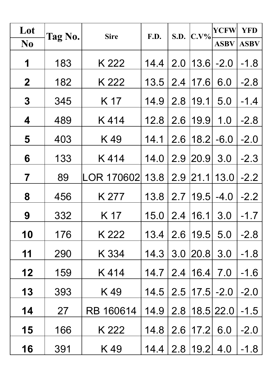| Lot                     | Tag No. | <b>Sire</b> | F.D. | S.D. | $C.V\%$      | <b>YCFW</b> | <b>YFD</b>  |
|-------------------------|---------|-------------|------|------|--------------|-------------|-------------|
| N <sub>0</sub>          |         |             |      |      |              | <b>ASBV</b> | <b>ASBV</b> |
| 1                       | 183     | K 222       | 14.4 | 2.0  | 13.6         | $-2.0$      | $-1.8$      |
| $\boldsymbol{2}$        | 182     | K 222       | 13.5 | 2.4  | 17.6         | 6.0         | $-2.8$      |
| $\overline{\mathbf{3}}$ | 345     | K 17        | 14.9 | 2.8  | 19.1         | 5.0         | $-1.4$      |
| 4                       | 489     | K414        | 12.8 | 2.6  | 19.9         | 1.0         | $-2.8$      |
| 5                       | 403     | K49         | 14.1 | 2.6  | 18.2         | $-6.0$      | $-2.0$      |
| 6                       | 133     | K414        | 14.0 | 2.9  | 20.9         | 3.0         | $-2.3$      |
| $\overline{7}$          | 89      | LOR 170602  | 13.8 | 2.9  | 21.1         | 13.0        | $-2.2$      |
| 8                       | 456     | K 277       | 13.8 | 2.7  | 19.5         | $-4.0$      | $-2.2$      |
| 9                       | 332     | K 17        | 15.0 | 2.4  | 16.1         | 3.0         | $-1.7$      |
| 10                      | 176     | K 222       | 13.4 | 2.6  | 19.5         | 5.0         | $-2.8$      |
| 11                      | 290     | K 334       | 14.3 | 3.0  | 20.8         | 3.0         | $-1.8$      |
| 12                      | 159     | K414        | 14.7 | 2.4  | 16.4         | 7.0         | $-1.6$      |
| 13                      | 393     | K49         | 14.5 | 2.5  | 17.5         | $-2.0$      | $-2.0$      |
| 14                      | 27      | RB 160614   | 14.9 | 2.8  |              | 18.5 22.0   | $-1.5$      |
| 15                      | 166     | K 222       | 14.8 | 2.6  | 17.2         | 6.0         | $-2.0$      |
| 16                      | 391     | K49         | 14.4 |      | $2.8$   19.2 | 4.0         | $-1.8$      |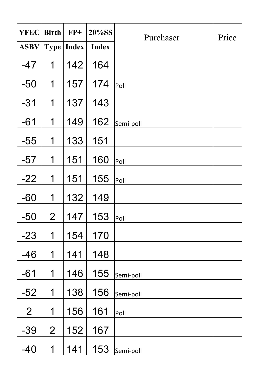| <b>YFEC</b>    | <b>Birth</b>   | $FP+$        | 20%SS        | Purchaser | Price |
|----------------|----------------|--------------|--------------|-----------|-------|
| <b>ASBV</b>    |                | Type   Index | <b>Index</b> |           |       |
| $-47$          | 1              | 142          | 164          |           |       |
| $-50$          | 1              | 157          | 174          | Poll      |       |
| $-31$          | 1              | 137          | 143          |           |       |
| $-61$          | 1              | 149          | 162          | Semi-poll |       |
| $-55$          | 1              | 133          | 151          |           |       |
| $-57$          | 1              | 151          | 160          | Poll      |       |
| $-22$          | 1              | 151          | 155          | Poll      |       |
| $-60$          | 1              | 132          | 149          |           |       |
| $-50$          | $\overline{2}$ | 147          | 153          | Poll      |       |
| $-23$          | 1              | 154          | 170          |           |       |
| $-46$          | 1              | 141          | 148          |           |       |
| $-61$          | 1              | 146          | 155          | Semi-poll |       |
| $-52$          | 1              | 138          | 156          | Semi-poll |       |
| $\overline{2}$ | 1              | 156          | 161          | Poll      |       |
| $-39$          | $\overline{2}$ | 152          | 167          |           |       |
| $-40$          | 1              | 141          | 153          | Semi-poll |       |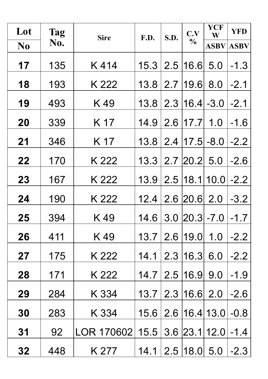| Lot            | <b>Tag</b> | <b>Sire</b> | F.D. | S.D. | C.V            | <b>YCF</b><br>W   | <b>YFD</b>       |
|----------------|------------|-------------|------|------|----------------|-------------------|------------------|
| N <sub>0</sub> | No.        |             |      |      | $\frac{0}{0}$  |                   | <b>ASBV ASBV</b> |
| 17             | 135        | K414        | 15.3 | 2.5  | 16.6           | 5.0               | $-1.3$           |
| 18             | 193        | K 222       | 13.8 | 2.7  | 19.6           | 8.0               | $-2.1$           |
| 19             | 493        | K49         | 13.8 | 2.3  | $ 16.4  - 3.0$ |                   | $-2.1$           |
| 20             | 339        | K 17        | 14.9 | 2.6  | 17.7           | 1.0               | $-1.6$           |
| 21             | 346        | K 17        | 13.8 | 2.4  | $ 17.5  - 8.0$ |                   | $-2.2$           |
| 22             | 170        | K 222       | 13.3 | 2.7  | $ 20.2 $ 5.0   |                   | $-2.6$           |
| 23             | 167        | K 222       | 13.9 |      |                | $2.5$  18.1 10.0  | $-2.2$           |
| 24             | 190        | K 222       | 12.4 | 2.6  | 20.6 2.0       |                   | $-3.2$           |
| 25             | 394        | K49         | 14.6 | 3.0  | $ 20.3  - 7.0$ |                   | $-1.7$           |
| 26             | 411        | K49         | 13.7 | 2.6  | 19.0           | 1.0               | $-2.2$           |
| 27             | 175        | K 222       | 14.1 | 2.3  | 16.3           | 6.0               | $-2.2$           |
| 28             | 171        | K 222       | 14.7 | 2.5  | 16.9           | 9.0               | $-1.9$           |
| 29             | 284        | K 334       | 13.7 | 2.3  | 16.6           | 2.0               | $-2.6$           |
| 30             | 283        | K 334       | 15.6 |      |                | 2.6   16.4   13.0 | $-0.8$           |
| 31             | 92         | LOR 170602  | 15.5 | 3.6  |                | 23.1 12.0         | $-1.4$           |
| 32             | 448        | K 277       | 14.1 | 2.5  | $ 18.0 $ 5.0   |                   | $-2.3$           |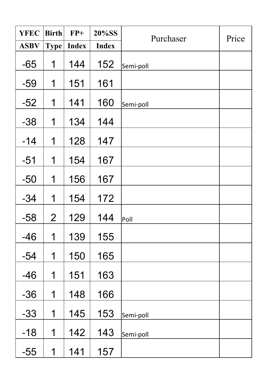| <b>YFEC</b> | <b>Birth</b>   | $FP+$        | 20%SS        | Purchaser | Price |
|-------------|----------------|--------------|--------------|-----------|-------|
| <b>ASBV</b> | <b>Type</b>    | <b>Index</b> | <b>Index</b> |           |       |
| $-65$       | 1              | 144          | 152          | Semi-poll |       |
| $-59$       | 1              | 151          | 161          |           |       |
| $-52$       | 1              | 141          | 160          | Semi-poll |       |
| $-38$       | 1              | 134          | 144          |           |       |
| $-14$       | 1              | 128          | 147          |           |       |
| $-51$       | 1              | 154          | 167          |           |       |
| $-50$       | 1              | 156          | 167          |           |       |
| $-34$       | 1              | 154          | 172          |           |       |
| $-58$       | $\overline{2}$ | 129          | 144          | Poll      |       |
| $-46$       | 1              | 139          | 155          |           |       |
| $-54$       | 1              | 150          | 165          |           |       |
| $-46$       | 1              | 151          | 163          |           |       |
| $-36$       | 1              | 148          | 166          |           |       |
| $-33$       | 1              | 145          | 153          | Semi-poll |       |
| $-18$       | 1              | 142          | 143          | Semi-poll |       |
| $-55$       | 1              | 141          | 157          |           |       |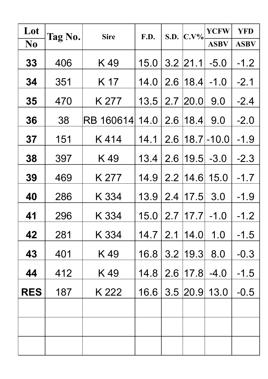| Lot            | Tag No. | <b>Sire</b> | F.D. | S.D. | $C.V\%$    | <b>YCFW</b>           | <b>YFD</b>  |
|----------------|---------|-------------|------|------|------------|-----------------------|-------------|
| N <sub>0</sub> |         |             |      |      |            | <b>ASBV</b>           | <b>ASBV</b> |
| 33             | 406     | K49         | 15.0 |      | $3.2$ 21.1 | $-5.0$                | $-1.2$      |
| 34             | 351     | K 17        | 14.0 | 2.6  | 18.4       | $-1.0$                | $-2.1$      |
| 35             | 470     | K 277       | 13.5 | 2.7  | 20.0       | 9.0                   | $-2.4$      |
| 36             | 38      | RB 160614   | 14.0 | 2.6  | 18.4       | 9.0                   | $-2.0$      |
| 37             | 151     | K414        | 14.1 |      |            | $2.6$   18.7   - 10.0 | $-1.9$      |
| 38             | 397     | K49         | 13.4 | 2.6  | 19.5       | $-3.0$                | $-2.3$      |
| 39             | 469     | K 277       | 14.9 | 2.2  | 14.6       | 15.0                  | $-1.7$      |
| 40             | 286     | K 334       | 13.9 | 2.4  | 17.5       | 3.0                   | $-1.9$      |
| 41             | 296     | K 334       | 15.0 | 2.7  | 17.7       | $-1.0$                | $-1.2$      |
| 42             | 281     | K 334       | 14.7 | 2.1  | 14.0       | 1.0                   | $-1.5$      |
| 43             | 401     | K 49        | 16.8 | 3.2  | 19.3       | 8.0                   | $-0.3$      |
| 44             | 412     | K49         | 14.8 | 2.6  | 17.8       | $-4.0$                | $-1.5$      |
| <b>RES</b>     | 187     | K 222       | 16.6 | 3.5  | 20.9       | 13.0                  | $-0.5$      |
|                |         |             |      |      |            |                       |             |
|                |         |             |      |      |            |                       |             |
|                |         |             |      |      |            |                       |             |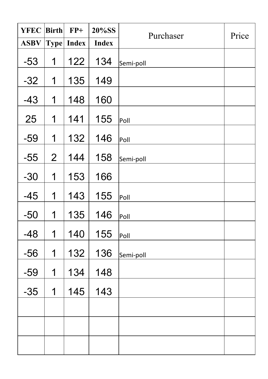| <b>YFEC</b> | <b>Birth</b>   | $FP+$             | 20%SS        | Purchaser | Price |
|-------------|----------------|-------------------|--------------|-----------|-------|
| <b>ASBV</b> |                | <b>Type Index</b> | <b>Index</b> |           |       |
| $-53$       | 1              | 122               | 134          | Semi-poll |       |
| $-32$       | 1              | 135               | 149          |           |       |
| $-43$       | 1              | 148               | 160          |           |       |
| 25          | 1              | 141               | 155          | Poll      |       |
| $-59$       | 1              | 132               | 146          | Poll      |       |
| $-55$       | $\overline{2}$ | 144               | 158          | Semi-poll |       |
| $-30$       | 1              | 153               | 166          |           |       |
| $-45$       | 1              | 143               | 155          | Poll      |       |
| $-50$       | 1              | 135               | 146          | Poll      |       |
| $-48$       | $\overline{1}$ | 140               | 155          | Poll      |       |
| $-56$       | 1              | 132               | 136          | Semi-poll |       |
| $-59$       | 1              | 134               | 148          |           |       |
| $-35$       | 1              | 145               | 143          |           |       |
|             |                |                   |              |           |       |
|             |                |                   |              |           |       |
|             |                |                   |              |           |       |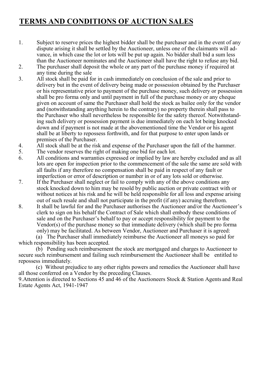#### **TERMS AND CONDITIONS OF AUCTION SALES**

- 1. Subject to reserve prices the highest bidder shall be the purchaser and in the event of any dispute arising it shall be settled by the Auctioneer, unless one of the claimants will advance, in which case the lot or lots will be put up again. No bidder shall bid a sum less than the Auctioneer nominates and the Auctioneer shall have the right to refuse any bid.
- 2. The purchaser shall deposit the whole or any part of the purchase money if required at any time during the sale
- 3. All stock shall be paid for in cash immediately on conclusion of the sale and prior to delivery but in the event of delivery being made or possession obtained by the Purchaser or his representative prior to payment of the purchase money, such delivery or possession shall be pro forma only and until payment in full of the purchase money or any cheque given on account of same the Purchaser shall hold the stock as bailee only for the vendor and (notwithstanding anything herein to the contrary) no property therein shall pass to the Purchaser who shall nevertheless be responsible for the safety thereof. Notwithstanding such delivery or possession payment is due immediately on each lot being knocked down and if payment is not made at the abovementioned time the Vendor or his agent shall be at liberty to repossess forthwith, and for that purpose to enter upon lands or premises of the Purchaser.
- 4. All stock shall be at the risk and expense of the Purchaser upon the fall of the hammer.<br>5. The vendor reserves the right of making one bid for each lot.
- The vendor reserves the right of making one bid for each lot.
- 6. All conditions and warranties expressed or implied by law are hereby excluded and as all lots are open for inspection prior to the commencement of the sale the same are sold with all faults if any therefore no compensation shall be paid in respect of any fault or imperfection or error of description or number in or of any lots sold or otherwise.
- 7. If the Purchaser shall neglect or fail to comply with any of the above conditions any stock knocked down to him may be resold by public auction or private contract with or without notices at his risk and he will be held responsible for all loss and expense arising out of such resale and shall not participate in the profit (if any) accruing therefrom.
- 8. It shall be lawful for and the Purchaser authorises the Auctioneer and/or the Auctioneer's clerk to sign on his behalf the Contract of Sale which shall embody these conditions of sale and on the Purchaser's behalf to pay or accept responsibility for payment to the Vendor(s) of the purchase money so that immediate delivery (which shall be pro forma only) may be facilitated. As between Vendor, Auctioneer and Purchaser it is agreed:

 (a) The Purchaser shall immediately reimburse the Auctioneer all moneys so paid for which responsibility has been accepted.

 (b) Pending such reimbursement the stock are mortgaged and charges to Auctioneer to secure such reimbursement and failing such reimbursement the Auctioneer shall be entitled to repossess immediately.

 (c) Without prejudice to any other rights powers and remedies the Auctioneer shall have all those conferred on a Vendor by the preceding Clauses.

9.Attention is directed to Sections 45 and 46 of the Auctioneers Stock & Station Agents and Real Estate Agents Act, 1941-1947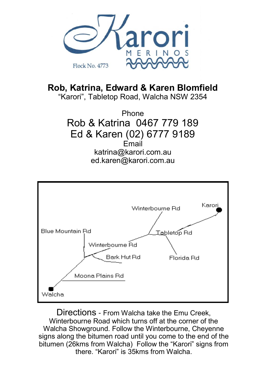

**Rob, Katrina, Edward & Karen Blomfield** "Karori", Tabletop Road, Walcha NSW 2354

> Phone Rob & Katrina 0467 779 189 Ed & Karen (02) 6777 9189 Email katrina@karori.com.au ed.karen@karori.com.au



Directions - From Walcha take the Emu Creek, Winterbourne Road which turns off at the corner of the Walcha Showground. Follow the Winterbourne, Cheyenne signs along the bitumen road until you come to the end of the bitumen (26kms from Walcha) Follow the "Karori" signs from there. "Karori" is 35kms from Walcha.